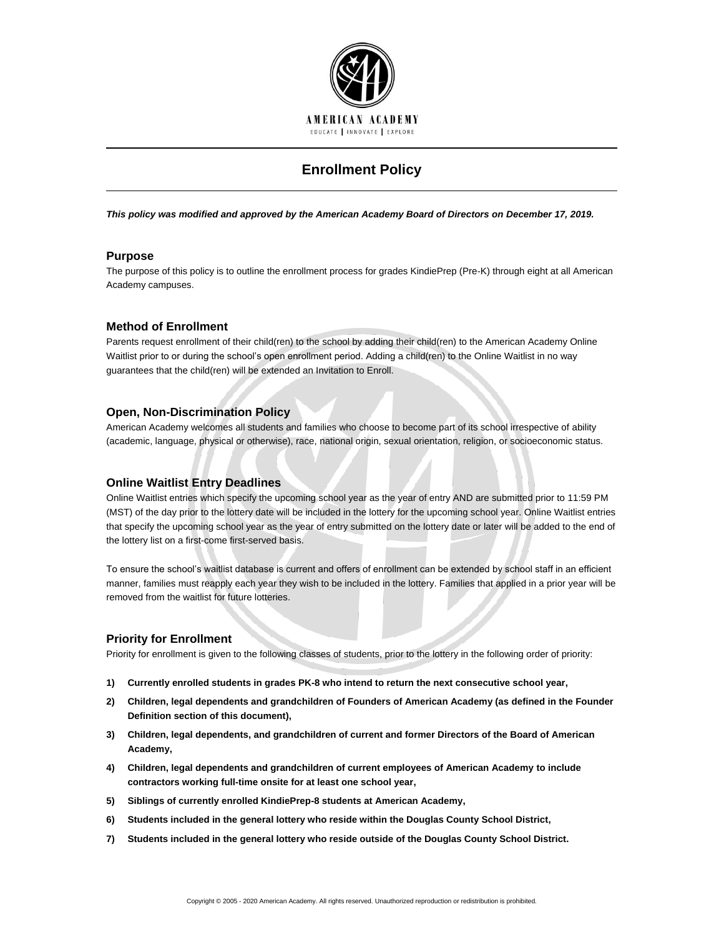

# **Enrollment Policy**

*This policy was modified and approved by the American Academy Board of Directors on December 17, 2019.*

# **Purpose**

The purpose of this policy is to outline the enrollment process for grades KindiePrep (Pre-K) through eight at all American Academy campuses.

# **Method of Enrollment**

Parents request enrollment of their child(ren) to the school by adding their child(ren) to the American Academy Online Waitlist prior to or during the school's open enrollment period. Adding a child(ren) to the Online Waitlist in no way guarantees that the child(ren) will be extended an Invitation to Enroll.

#### **Open, Non-Discrimination Policy**

American Academy welcomes all students and families who choose to become part of its school irrespective of ability (academic, language, physical or otherwise), race, national origin, sexual orientation, religion, or socioeconomic status.

#### **Online Waitlist Entry Deadlines**

Online Waitlist entries which specify the upcoming school year as the year of entry AND are submitted prior to 11:59 PM (MST) of the day prior to the lottery date will be included in the lottery for the upcoming school year. Online Waitlist entries that specify the upcoming school year as the year of entry submitted on the lottery date or later will be added to the end of the lottery list on a first-come first-served basis.

To ensure the school's waitlist database is current and offers of enrollment can be extended by school staff in an efficient manner, families must reapply each year they wish to be included in the lottery. Families that applied in a prior year will be removed from the waitlist for future lotteries.

# **Priority for Enrollment**

Priority for enrollment is given to the following classes of students, prior to the lottery in the following order of priority:

- **1) Currently enrolled students in grades PK-8 who intend to return the next consecutive school year,**
- **2) Children, legal dependents and grandchildren of Founders of American Academy (as defined in the Founder Definition section of this document),**
- **3) Children, legal dependents, and grandchildren of current and former Directors of the Board of American Academy,**
- **4) Children, legal dependents and grandchildren of current employees of American Academy to include contractors working full-time onsite for at least one school year,**
- **5) Siblings of currently enrolled KindiePrep-8 students at American Academy,**
- **6) Students included in the general lottery who reside within the Douglas County School District,**
- **7) Students included in the general lottery who reside outside of the Douglas County School District.**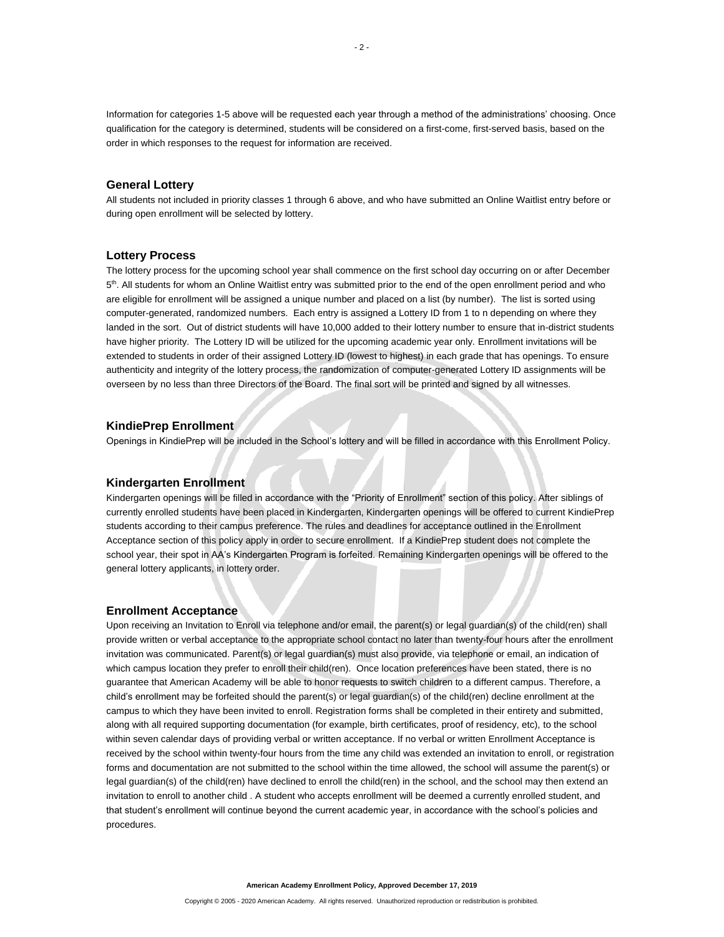Information for categories 1-5 above will be requested each year through a method of the administrations' choosing. Once qualification for the category is determined, students will be considered on a first-come, first-served basis, based on the order in which responses to the request for information are received.

#### **General Lottery**

All students not included in priority classes 1 through 6 above, and who have submitted an Online Waitlist entry before or during open enrollment will be selected by lottery.

#### **Lottery Process**

The lottery process for the upcoming school year shall commence on the first school day occurring on or after December 5<sup>th</sup>. All students for whom an Online Waitlist entry was submitted prior to the end of the open enrollment period and who are eligible for enrollment will be assigned a unique number and placed on a list (by number). The list is sorted using computer-generated, randomized numbers. Each entry is assigned a Lottery ID from 1 to n depending on where they landed in the sort. Out of district students will have 10,000 added to their lottery number to ensure that in-district students have higher priority. The Lottery ID will be utilized for the upcoming academic year only. Enrollment invitations will be extended to students in order of their assigned Lottery ID (lowest to highest) in each grade that has openings. To ensure authenticity and integrity of the lottery process, the randomization of computer-generated Lottery ID assignments will be overseen by no less than three Directors of the Board. The final sort will be printed and signed by all witnesses.

#### **KindiePrep Enrollment**

Openings in KindiePrep will be included in the School's lottery and will be filled in accordance with this Enrollment Policy.

#### **Kindergarten Enrollment**

Kindergarten openings will be filled in accordance with the "Priority of Enrollment" section of this policy. After siblings of currently enrolled students have been placed in Kindergarten, Kindergarten openings will be offered to current KindiePrep students according to their campus preference. The rules and deadlines for acceptance outlined in the Enrollment Acceptance section of this policy apply in order to secure enrollment. If a KindiePrep student does not complete the school year, their spot in AA's Kindergarten Program is forfeited. Remaining Kindergarten openings will be offered to the general lottery applicants, in lottery order.

#### **Enrollment Acceptance**

Upon receiving an Invitation to Enroll via telephone and/or email, the parent(s) or legal guardian(s) of the child(ren) shall provide written or verbal acceptance to the appropriate school contact no later than twenty-four hours after the enrollment invitation was communicated. Parent(s) or legal guardian(s) must also provide, via telephone or email, an indication of which campus location they prefer to enroll their child(ren). Once location preferences have been stated, there is no guarantee that American Academy will be able to honor requests to switch children to a different campus. Therefore, a child's enrollment may be forfeited should the parent(s) or legal guardian(s) of the child(ren) decline enrollment at the campus to which they have been invited to enroll. Registration forms shall be completed in their entirety and submitted, along with all required supporting documentation (for example, birth certificates, proof of residency, etc), to the school within seven calendar days of providing verbal or written acceptance. If no verbal or written Enrollment Acceptance is received by the school within twenty-four hours from the time any child was extended an invitation to enroll, or registration forms and documentation are not submitted to the school within the time allowed, the school will assume the parent(s) or legal guardian(s) of the child(ren) have declined to enroll the child(ren) in the school, and the school may then extend an invitation to enroll to another child . A student who accepts enrollment will be deemed a currently enrolled student, and that student's enrollment will continue beyond the current academic year, in accordance with the school's policies and procedures.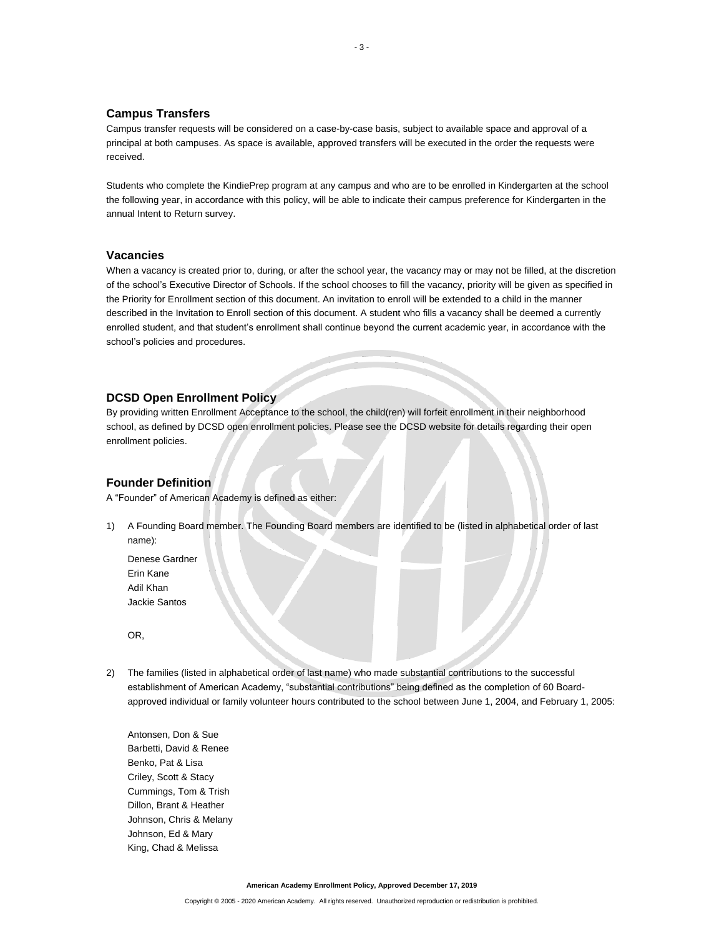### **Campus Transfers**

Campus transfer requests will be considered on a case-by-case basis, subject to available space and approval of a principal at both campuses. As space is available, approved transfers will be executed in the order the requests were received.

Students who complete the KindiePrep program at any campus and who are to be enrolled in Kindergarten at the school the following year, in accordance with this policy, will be able to indicate their campus preference for Kindergarten in the annual Intent to Return survey.

#### **Vacancies**

When a vacancy is created prior to, during, or after the school year, the vacancy may or may not be filled, at the discretion of the school's Executive Director of Schools. If the school chooses to fill the vacancy, priority will be given as specified in the Priority for Enrollment section of this document. An invitation to enroll will be extended to a child in the manner described in the Invitation to Enroll section of this document. A student who fills a vacancy shall be deemed a currently enrolled student, and that student's enrollment shall continue beyond the current academic year, in accordance with the school's policies and procedures.

# **DCSD Open Enrollment Policy**

By providing written Enrollment Acceptance to the school, the child(ren) will forfeit enrollment in their neighborhood school, as defined by DCSD open enrollment policies. Please see the DCSD website for details regarding their open enrollment policies.

## **Founder Definition**

A "Founder" of American Academy is defined as either:

1) A Founding Board member. The Founding Board members are identified to be (listed in alphabetical order of last name):

Denese Gardner Erin Kane Adil Khan Jackie Santos

OR,

2) The families (listed in alphabetical order of last name) who made substantial contributions to the successful establishment of American Academy, "substantial contributions" being defined as the completion of 60 Boardapproved individual or family volunteer hours contributed to the school between June 1, 2004, and February 1, 2005:

Antonsen, Don & Sue Barbetti, David & Renee Benko, Pat & Lisa Criley, Scott & Stacy Cummings, Tom & Trish Dillon, Brant & Heather Johnson, Chris & Melany Johnson, Ed & Mary King, Chad & Melissa

**American Academy Enrollment Policy, Approved December 17, 2019**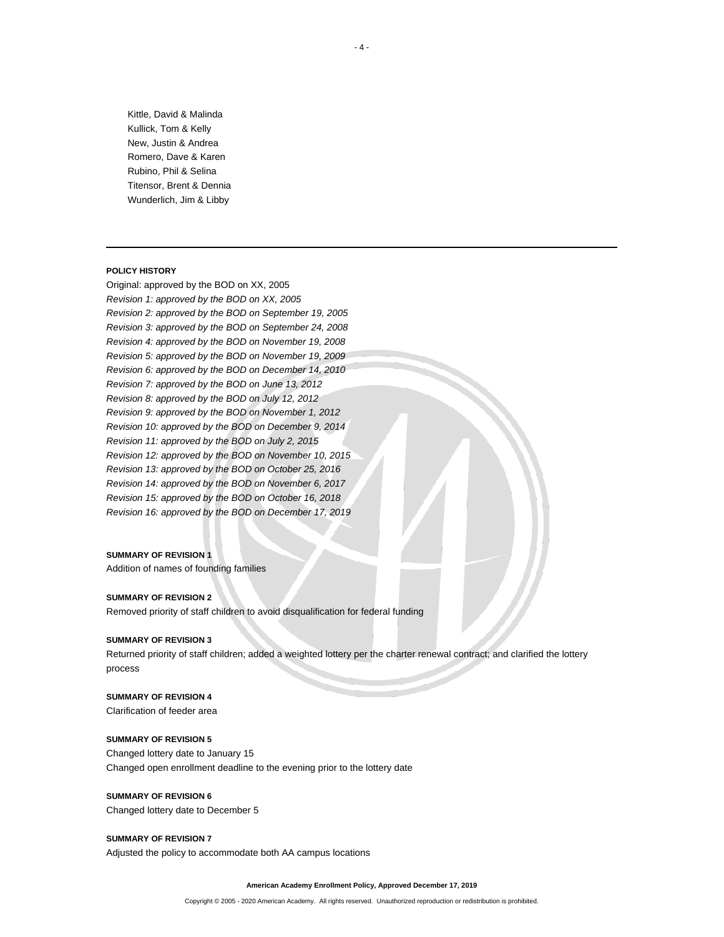Kittle, David & Malinda Kullick, Tom & Kelly New, Justin & Andrea Romero, Dave & Karen Rubino, Phil & Selina Titensor, Brent & Dennia Wunderlich, Jim & Libby

#### **POLICY HISTORY**

Original: approved by the BOD on XX, 2005 *Revision 1: approved by the BOD on XX, 2005 Revision 2: approved by the BOD on September 19, 2005 Revision 3: approved by the BOD on September 24, 2008 Revision 4: approved by the BOD on November 19, 2008 Revision 5: approved by the BOD on November 19, 2009 Revision 6: approved by the BOD on December 14, 2010 Revision 7: approved by the BOD on June 13, 2012 Revision 8: approved by the BOD on July 12, 2012 Revision 9: approved by the BOD on November 1, 2012 Revision 10: approved by the BOD on December 9, 2014 Revision 11: approved by the BOD on July 2, 2015 Revision 12: approved by the BOD on November 10, 2015 Revision 13: approved by the BOD on October 25, 2016 Revision 14: approved by the BOD on November 6, 2017 Revision 15: approved by the BOD on October 16, 2018 Revision 16: approved by the BOD on December 17, 2019*

#### **SUMMARY OF REVISION 1**

Addition of names of founding families

#### **SUMMARY OF REVISION 2**

Removed priority of staff children to avoid disqualification for federal funding

#### **SUMMARY OF REVISION 3**

Returned priority of staff children; added a weighted lottery per the charter renewal contract; and clarified the lottery process

# **SUMMARY OF REVISION 4**

Clarification of feeder area

#### **SUMMARY OF REVISION 5**

Changed lottery date to January 15 Changed open enrollment deadline to the evening prior to the lottery date

# **SUMMARY OF REVISION 6**

Changed lottery date to December 5

# **SUMMARY OF REVISION 7**

Adjusted the policy to accommodate both AA campus locations

**American Academy Enrollment Policy, Approved December 17, 2019**